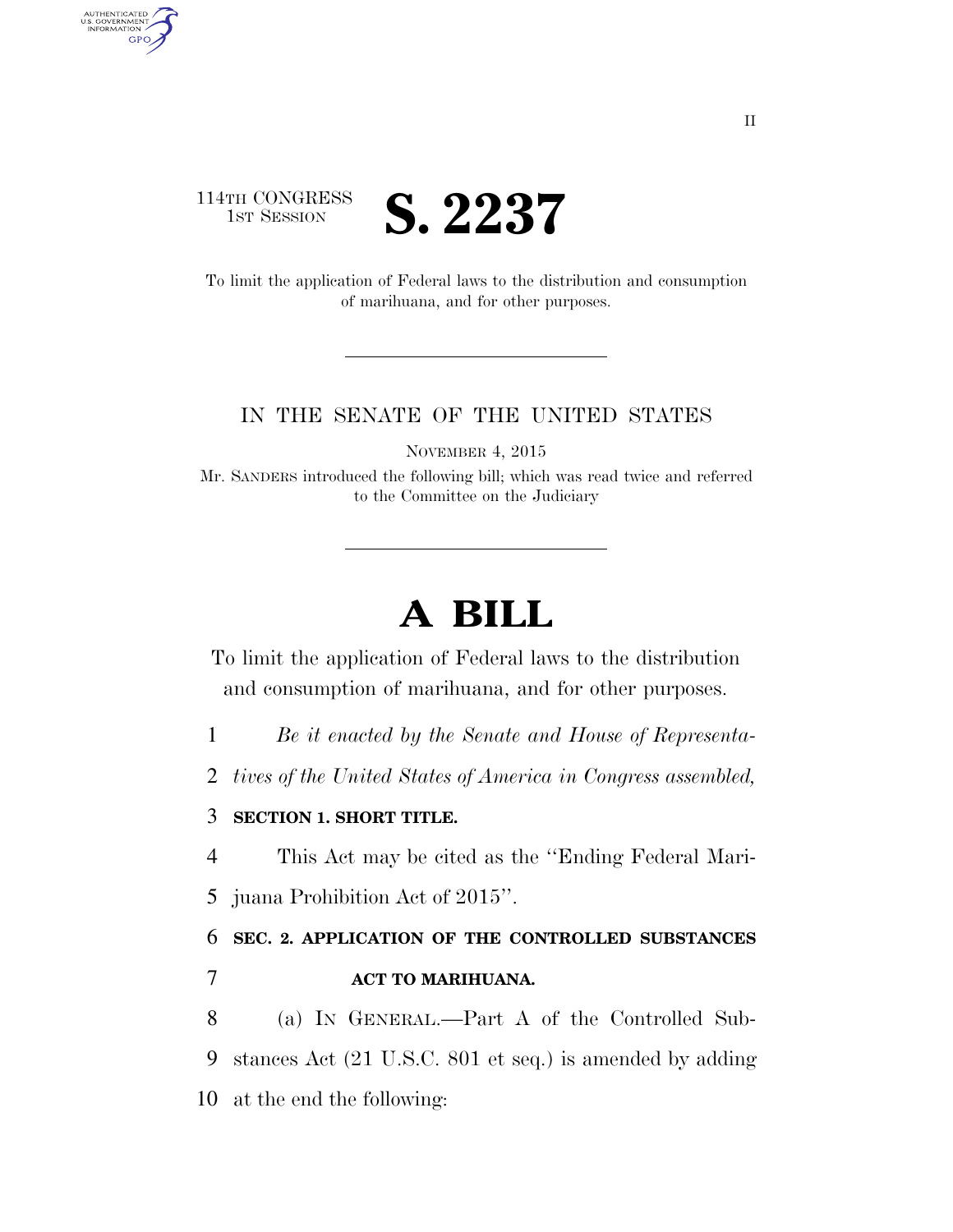

AUTHENTICATED<br>U.S. GOVERNMENT<br>INFORMATION

**GPO** 

To limit the application of Federal laws to the distribution and consumption of marihuana, and for other purposes.

## IN THE SENATE OF THE UNITED STATES

NOVEMBER 4, 2015

Mr. SANDERS introduced the following bill; which was read twice and referred to the Committee on the Judiciary

## **A BILL**

To limit the application of Federal laws to the distribution and consumption of marihuana, and for other purposes.

1 *Be it enacted by the Senate and House of Representa-*

2 *tives of the United States of America in Congress assembled,* 

## 3 **SECTION 1. SHORT TITLE.**

4 This Act may be cited as the ''Ending Federal Mari-

5 juana Prohibition Act of 2015''.

6 **SEC. 2. APPLICATION OF THE CONTROLLED SUBSTANCES**  7 **ACT TO MARIHUANA.** 

8 (a) IN GENERAL.—Part A of the Controlled Sub-9 stances Act (21 U.S.C. 801 et seq.) is amended by adding 10 at the end the following: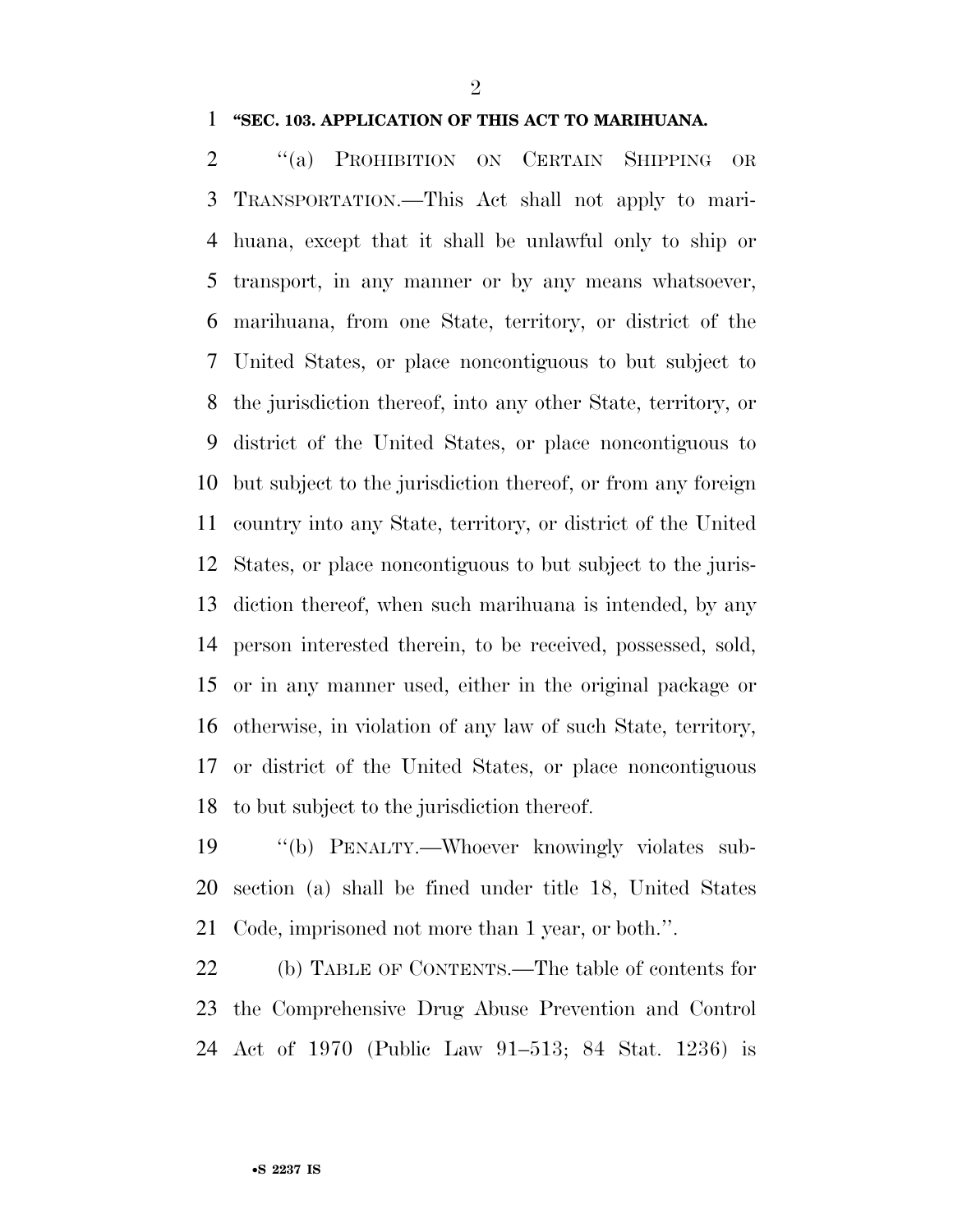## **''SEC. 103. APPLICATION OF THIS ACT TO MARIHUANA.**

 ''(a) PROHIBITION ON CERTAIN SHIPPING OR TRANSPORTATION.—This Act shall not apply to mari- huana, except that it shall be unlawful only to ship or transport, in any manner or by any means whatsoever, marihuana, from one State, territory, or district of the United States, or place noncontiguous to but subject to the jurisdiction thereof, into any other State, territory, or district of the United States, or place noncontiguous to but subject to the jurisdiction thereof, or from any foreign country into any State, territory, or district of the United States, or place noncontiguous to but subject to the juris- diction thereof, when such marihuana is intended, by any person interested therein, to be received, possessed, sold, or in any manner used, either in the original package or otherwise, in violation of any law of such State, territory, or district of the United States, or place noncontiguous to but subject to the jurisdiction thereof.

 ''(b) PENALTY.—Whoever knowingly violates sub- section (a) shall be fined under title 18, United States Code, imprisoned not more than 1 year, or both.''.

 (b) TABLE OF CONTENTS.—The table of contents for the Comprehensive Drug Abuse Prevention and Control Act of 1970 (Public Law 91–513; 84 Stat. 1236) is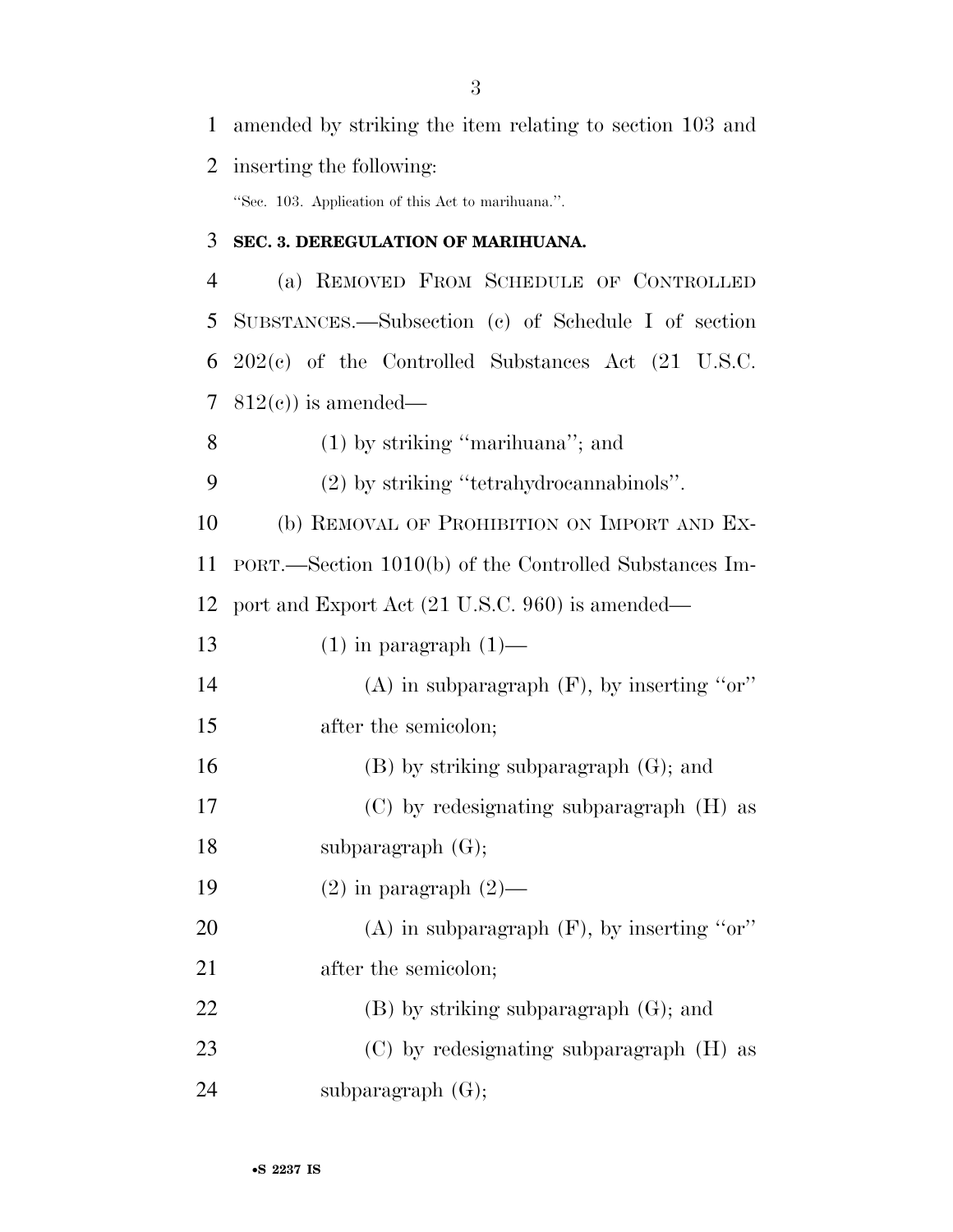| $\mathbf{1}$   | amended by striking the item relating to section 103 and        |
|----------------|-----------------------------------------------------------------|
| 2              | inserting the following:                                        |
|                | "Sec. 103. Application of this Act to marihuana.".              |
| 3              | SEC. 3. DEREGULATION OF MARIHUANA.                              |
| $\overline{4}$ | (a) REMOVED FROM SCHEDULE OF CONTROLLED                         |
| 5              | SUBSTANCES.—Subsection (c) of Schedule I of section             |
| 6              | $202(e)$ of the Controlled Substances Act $(21 \text{ U.S.C.})$ |
| 7              | $812(e)$ ) is amended—                                          |
| 8              | $(1)$ by striking "marihuana"; and                              |
| 9              | $(2)$ by striking "tetrahydrocannabinols".                      |
| 10             | (b) REMOVAL OF PROHIBITION ON IMPORT AND EX-                    |
| 11             | PORT.—Section 1010(b) of the Controlled Substances Im-          |
| 12             | port and Export Act (21 U.S.C. 960) is amended—                 |
| 13             | $(1)$ in paragraph $(1)$ —                                      |
| 14             | $(A)$ in subparagraph $(F)$ , by inserting "or"                 |
| 15             | after the semicolon;                                            |
| 16             | $(B)$ by striking subparagraph $(G)$ ; and                      |
| 17             | (C) by redesignating subparagraph (H) as                        |
| 18             | subparagraph $(G)$ ;                                            |
| 19             | $(2)$ in paragraph $(2)$ —                                      |
| 20             | $(A)$ in subparagraph $(F)$ , by inserting "or"                 |
| 21             | after the semicolon;                                            |
| 22             | $(B)$ by striking subparagraph $(G)$ ; and                      |
| 23             | (C) by redesignating subparagraph (H) as                        |
| 24             | subparagraph $(G)$ ;                                            |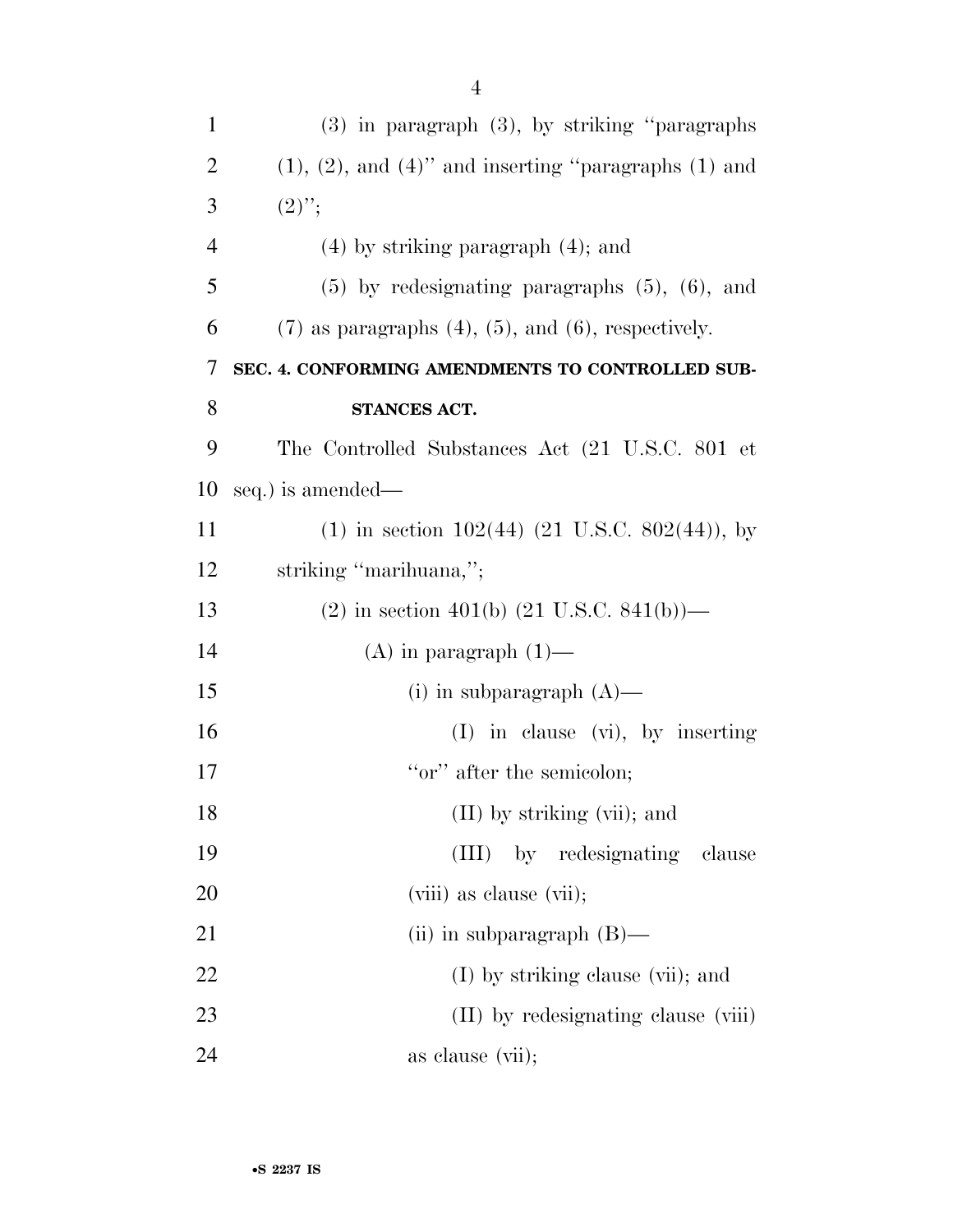| $\mathbf{1}$   | (3) in paragraph (3), by striking "paragraphs                   |
|----------------|-----------------------------------------------------------------|
| $\overline{2}$ | $(1)$ , $(2)$ , and $(4)$ " and inserting "paragraphs $(1)$ and |
| 3              | $(2)$ ";                                                        |
| $\overline{4}$ | $(4)$ by striking paragraph $(4)$ ; and                         |
| 5              | $(5)$ by redesignating paragraphs $(5)$ , $(6)$ , and           |
| 6              | $(7)$ as paragraphs $(4)$ , $(5)$ , and $(6)$ , respectively.   |
| 7              | SEC. 4. CONFORMING AMENDMENTS TO CONTROLLED SUB-                |
| 8              | STANCES ACT.                                                    |
| 9              | The Controlled Substances Act (21 U.S.C. 801 et                 |
| 10             | seq.) is amended—                                               |
| 11             | $(1)$ in section 102(44) (21 U.S.C. 802(44)), by                |
| 12             | striking "marihuana,";                                          |
| 13             | $(2)$ in section 401(b) $(21 \text{ U.S.C. } 841(b))$ —         |
| 14             | $(A)$ in paragraph $(1)$ —                                      |
| 15             | (i) in subparagraph $(A)$ —                                     |
| 16             | $(I)$ in clause $(vi)$ , by inserting                           |
| 17             | "or" after the semicolon;                                       |
| 18             | (II) by striking (vii); and                                     |
| 19             | by redesignating<br>(III)<br>clause                             |
| 20             | (viii) as clause (vii);                                         |
| 21             | (ii) in subparagraph $(B)$ —                                    |
| 22             | (I) by striking clause (vii); and                               |
| 23             | (II) by redesignating clause (viii)                             |
| 24             | as clause (vii);                                                |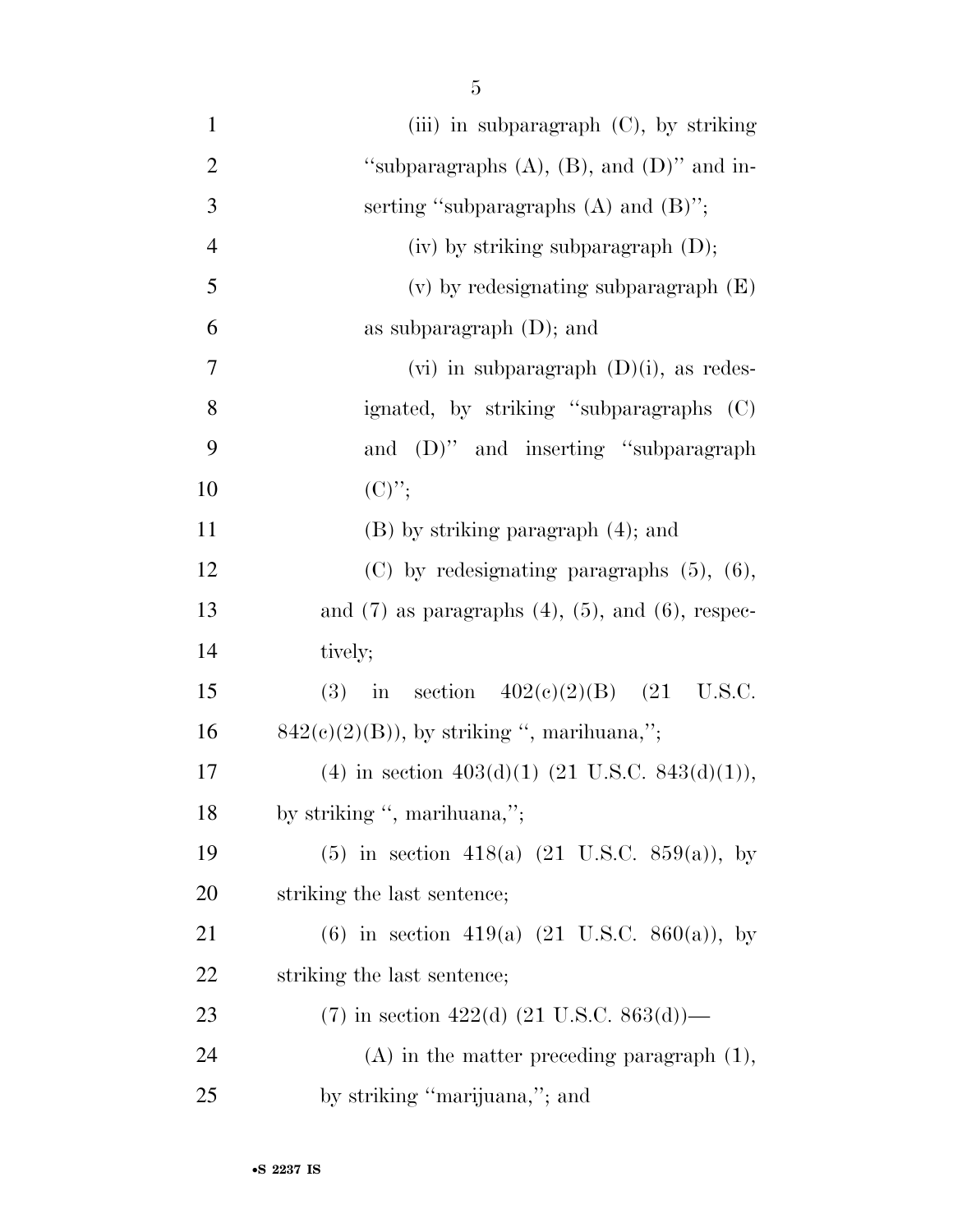| $\mathbf{1}$   | (iii) in subparagraph $(C)$ , by striking                   |
|----------------|-------------------------------------------------------------|
| $\overline{2}$ | "subparagraphs $(A)$ , $(B)$ , and $(D)$ " and in-          |
| 3              | serting "subparagraphs $(A)$ and $(B)$ ";                   |
| $\overline{4}$ | $(iv)$ by striking subparagraph $(D)$ ;                     |
| 5              | $(v)$ by redesignating subparagraph $(E)$                   |
| 6              | as subparagraph $(D)$ ; and                                 |
| 7              | (vi) in subparagraph $(D)(i)$ , as redes-                   |
| 8              | ignated, by striking "subparagraphs (C)                     |
| 9              | and (D)" and inserting "subparagraph                        |
| 10             | $(C)$ ";                                                    |
| 11             | $(B)$ by striking paragraph $(4)$ ; and                     |
| 12             | $(C)$ by redesignating paragraphs $(5)$ , $(6)$ ,           |
| 13             | and $(7)$ as paragraphs $(4)$ , $(5)$ , and $(6)$ , respec- |
| 14             | tively;                                                     |
| 15             | in section $402(e)(2)(B)$ (21 U.S.C.<br>(3)                 |
| 16             | $842(c)(2)(B)$ , by striking ", marihuana,";                |
| 17             | (4) in section $403(d)(1)$ (21 U.S.C. 843(d)(1)),           |
| 18             | by striking ", marihuana,";                                 |
| 19             | $(5)$ in section 418(a) $(21 \text{ U.S.C. } 859(a))$ , by  |
| 20             | striking the last sentence;                                 |
| 21             | (6) in section 419(a) $(21 \text{ U.S.C. } 860(a))$ , by    |
| 22             | striking the last sentence;                                 |
| 23             | (7) in section 422(d) $(21 \text{ U.S.C. } 863(d))$ —       |
| 24             | $(A)$ in the matter preceding paragraph $(1)$ ,             |
| 25             | by striking "marijuana,"; and                               |